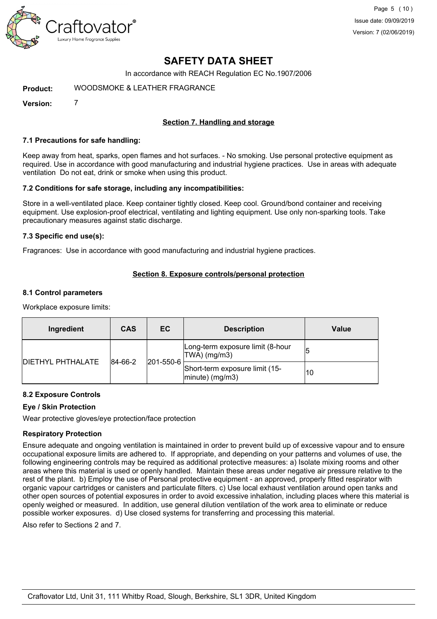

In accordance with REACH Regulation EC No.1907/2006

**Product:** WOODSMOKE FRAGRANCE

**Version:** 7

#### **Section 7. Handling and storage**

#### **7.1 Precautions for safe handling:**

Keep away from heat, sparks, open flames and hot surfaces. - No smoking. Use personal protective equipment as required. Use in accordance with good manufacturing and industrial hygiene practices. Use in areas with adequate ventilation Do not eat, drink or smoke when using this product.

#### **7.2 Conditions for safe storage, including any incompatibilities:**

Store in a well-ventilated place. Keep container tightly closed. Keep cool. Ground/bond container and receiving equipment. Use explosion-proof electrical, ventilating and lighting equipment. Use only non-sparking tools. Take precautionary measures against static discharge.

#### **7.3 Specific end use(s):**

Fragrances: Use in accordance with good manufacturing and industrial hygiene practices.

#### **Section 8. Exposure controls/personal protection**

#### **8.1 Control parameters**

Workplace exposure limits:

| Ingredient                | <b>CAS</b> | <b>EC</b>         | <b>Description</b>                                    | Value |
|---------------------------|------------|-------------------|-------------------------------------------------------|-------|
| <b>IDIETHYL PHTHALATE</b> | 84-66-2    | $ 201 - 550 - 6 $ | Long-term exposure limit (8-hour<br>TWA) (mg/m3)      |       |
|                           |            |                   | Short-term exposure limit (15-<br>$ $ minute) (mg/m3) | 10    |

#### **8.2 Exposure Controls**

#### **Eye / Skin Protection**

Wear protective gloves/eye protection/face protection

#### **Respiratory Protection**

Ensure adequate and ongoing ventilation is maintained in order to prevent build up of excessive vapour and to ensure occupational exposure limits are adhered to. If appropriate, and depending on your patterns and volumes of use, the following engineering controls may be required as additional protective measures: a) Isolate mixing rooms and other areas where this material is used or openly handled. Maintain these areas under negative air pressure relative to the rest of the plant. b) Employ the use of Personal protective equipment - an approved, properly fitted respirator with organic vapour cartridges or canisters and particulate filters. c) Use local exhaust ventilation around open tanks and other open sources of potential exposures in order to avoid excessive inhalation, including places where this material is openly weighed or measured. In addition, use general dilution ventilation of the work area to eliminate or reduce possible worker exposures. d) Use closed systems for transferring and processing this material.

Also refer to Sections 2 and 7.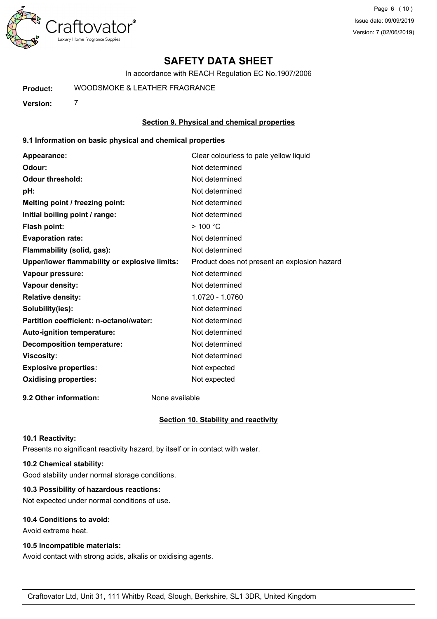

In accordance with REACH Regulation EC No.1907/2006

**Product:** WOODSMOKE FRAGRANCE

**Version:** 7

#### **Section 9. Physical and chemical properties**

#### **9.1 Information on basic physical and chemical properties**

| Appearance:                                   | Clear colourless to pale yellow liquid       |
|-----------------------------------------------|----------------------------------------------|
| Odour:                                        | Not determined                               |
| <b>Odour threshold:</b>                       | Not determined                               |
| pH:                                           | Not determined                               |
| Melting point / freezing point:               | Not determined                               |
| Initial boiling point / range:                | Not determined                               |
| <b>Flash point:</b>                           | $>$ 100 °C                                   |
| <b>Evaporation rate:</b>                      | Not determined                               |
| Flammability (solid, gas):                    | Not determined                               |
| Upper/lower flammability or explosive limits: | Product does not present an explosion hazard |
| Vapour pressure:                              | Not determined                               |
| Vapour density:                               | Not determined                               |
| <b>Relative density:</b>                      | 1.0720 - 1.0760                              |
| Solubility(ies):                              | Not determined                               |
| Partition coefficient: n-octanol/water:       | Not determined                               |
| Auto-ignition temperature:                    | Not determined                               |
| <b>Decomposition temperature:</b>             | Not determined                               |
| <b>Viscosity:</b>                             | Not determined                               |
| <b>Explosive properties:</b>                  | Not expected                                 |
| <b>Oxidising properties:</b>                  | Not expected                                 |
|                                               |                                              |

**9.2 Other information:** None available

#### **Section 10. Stability and reactivity**

#### **10.1 Reactivity:**

Presents no significant reactivity hazard, by itself or in contact with water.

#### **10.2 Chemical stability:**

Good stability under normal storage conditions.

#### **10.3 Possibility of hazardous reactions:**

Not expected under normal conditions of use.

#### **10.4 Conditions to avoid:**

Avoid extreme heat.

#### **10.5 Incompatible materials:**

Avoid contact with strong acids, alkalis or oxidising agents.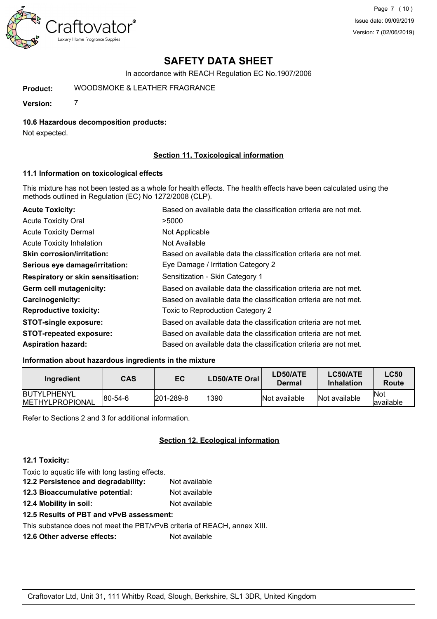

In accordance with REACH Regulation EC No.1907/2006

**Product:** WOODSMOKE FRAGRANCE

**Version:** 7

#### **10.6 Hazardous decomposition products:**

Not expected.

#### **Section 11. Toxicological information**

#### **11.1 Information on toxicological effects**

This mixture has not been tested as a whole for health effects. The health effects have been calculated using the methods outlined in Regulation (EC) No 1272/2008 (CLP).

| <b>Acute Toxicity:</b>                    | Based on available data the classification criteria are not met. |
|-------------------------------------------|------------------------------------------------------------------|
| <b>Acute Toxicity Oral</b>                | >5000                                                            |
| <b>Acute Toxicity Dermal</b>              | Not Applicable                                                   |
| Acute Toxicity Inhalation                 | Not Available                                                    |
| <b>Skin corrosion/irritation:</b>         | Based on available data the classification criteria are not met. |
| Serious eye damage/irritation:            | Eye Damage / Irritation Category 2                               |
| <b>Respiratory or skin sensitisation:</b> | Sensitization - Skin Category 1                                  |
| Germ cell mutagenicity:                   | Based on available data the classification criteria are not met. |
| <b>Carcinogenicity:</b>                   | Based on available data the classification criteria are not met. |
| <b>Reproductive toxicity:</b>             | Toxic to Reproduction Category 2                                 |
| <b>STOT-single exposure:</b>              | Based on available data the classification criteria are not met. |
| <b>STOT-repeated exposure:</b>            | Based on available data the classification criteria are not met. |
| <b>Aspiration hazard:</b>                 | Based on available data the classification criteria are not met. |

### **Information about hazardous ingredients in the mixture**

| Ingredient                                     | CAS         | EC               | LD50/ATE Oral | LD50/ATE<br>Dermal | LC50/ATE<br><b>Inhalation</b> | <b>LC50</b><br>Route |
|------------------------------------------------|-------------|------------------|---------------|--------------------|-------------------------------|----------------------|
| <b>IBUTYLPHENYL</b><br><b>IMETHYLPROPIONAL</b> | $ 80-54-6 $ | $ 201 - 289 - 8$ | 1390          | Not available      | Not available                 | lNot<br>lavailable   |

Refer to Sections 2 and 3 for additional information.

#### **Section 12. Ecological information**

#### **12.1 Toxicity:**

| Toxic to aquatic life with long lasting effects.                         |               |
|--------------------------------------------------------------------------|---------------|
| 12.2 Persistence and degradability:                                      | Not available |
| 12.3 Bioaccumulative potential:                                          | Not available |
| 12.4 Mobility in soil:                                                   | Not available |
| 12.5 Results of PBT and vPvB assessment:                                 |               |
| This substance does not meet the PBT/vPvB criteria of REACH, annex XIII. |               |
| 12.6 Other adverse effects:                                              | Not available |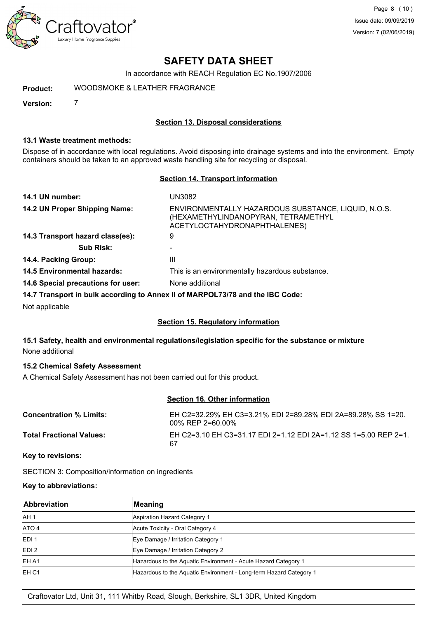

In accordance with REACH Regulation EC No.1907/2006

**Product:** WOODSMOKE FRAGRANCE

**Version:** 7

#### **Section 13. Disposal considerations**

#### **13.1 Waste treatment methods:**

Dispose of in accordance with local regulations. Avoid disposing into drainage systems and into the environment. Empty containers should be taken to an approved waste handling site for recycling or disposal.

#### **Section 14. Transport information**

| 14.1 UN number:                    | UN3082                                                                                                                     |
|------------------------------------|----------------------------------------------------------------------------------------------------------------------------|
| 14.2 UN Proper Shipping Name:      | ENVIRONMENTALLY HAZARDOUS SUBSTANCE, LIQUID, N.O.S.<br>(HEXAMETHYLINDANOPYRAN, TETRAMETHYL<br>ACETYLOCTAHYDRONAPHTHALENES) |
| 14.3 Transport hazard class(es):   | 9                                                                                                                          |
| <b>Sub Risk:</b>                   |                                                                                                                            |
| 14.4. Packing Group:               | Ш                                                                                                                          |
| <b>14.5 Environmental hazards:</b> | This is an environmentally hazardous substance.                                                                            |
| 14.6 Special precautions for user: | None additional                                                                                                            |
|                                    | 14.7 Transport in bulk according to Annex II of MARPOL73/78 and the IBC Code:                                              |
| Not applicable                     |                                                                                                                            |

#### **Section 15. Regulatory information**

#### **15.1 Safety, health and environmental regulations/legislation specific for the substance or mixture** None additional

#### **15.2 Chemical Safety Assessment**

A Chemical Safety Assessment has not been carried out for this product.

#### **Section 16. Other information**

| <b>Concentration % Limits:</b>  | EH C2=32.29% EH C3=3.21% EDI 2=89.28% EDI 2A=89.28% SS 1=20.<br>00% REP 2=60.00% |
|---------------------------------|----------------------------------------------------------------------------------|
| <b>Total Fractional Values:</b> | EH C2=3.10 EH C3=31.17 EDI 2=1.12 EDI 2A=1.12 SS 1=5.00 REP 2=1.<br>67           |

**Key to revisions:**

SECTION 3: Composition/information on ingredients

#### **Key to abbreviations:**

| Abbreviation     | Meaning                                                            |  |
|------------------|--------------------------------------------------------------------|--|
| IAH <sub>1</sub> | Aspiration Hazard Category 1                                       |  |
| ATO 4            | Acute Toxicity - Oral Category 4                                   |  |
| <b>IEDI1</b>     | Eye Damage / Irritation Category 1                                 |  |
| EDI <sub>2</sub> | Eye Damage / Irritation Category 2                                 |  |
| <b>IEH A1</b>    | Hazardous to the Aquatic Environment - Acute Hazard Category 1     |  |
| <b>IEH C1</b>    | Hazardous to the Aquatic Environment - Long-term Hazard Category 1 |  |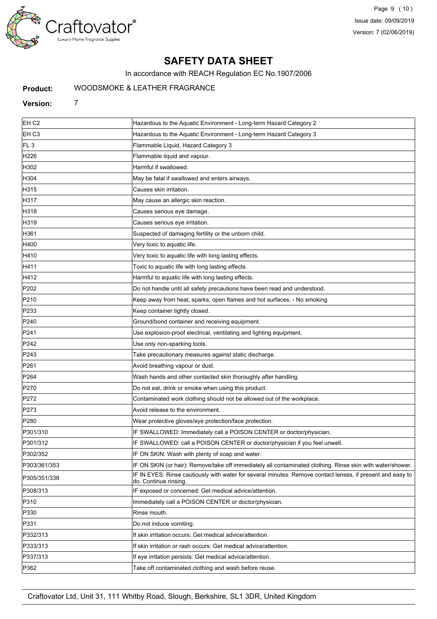

In accordance with REACH Regulation EC No.1907/2006

#### **Product:** WOODSMOKE FRAGRANCE

## **Version:** 7

| EH C <sub>2</sub> | Hazardous to the Aquatic Environment - Long-term Hazard Category 2                                                                  |  |
|-------------------|-------------------------------------------------------------------------------------------------------------------------------------|--|
| EH C3             | Hazardous to the Aquatic Environment - Long-term Hazard Category 3                                                                  |  |
| FL <sub>3</sub>   | Flammable Liquid, Hazard Category 3                                                                                                 |  |
| H226              | Flammable liquid and vapour.                                                                                                        |  |
| H302              | Harmful if swallowed.                                                                                                               |  |
| H304              | May be fatal if swallowed and enters airways.                                                                                       |  |
| H315              | Causes skin irritation.                                                                                                             |  |
| H317              | May cause an allergic skin reaction.                                                                                                |  |
| H318              | Causes serious eye damage.                                                                                                          |  |
| H319              | Causes serious eye irritation.                                                                                                      |  |
| H361              | Suspected of damaging fertility or the unborn child.                                                                                |  |
| H400              | Very toxic to aquatic life.                                                                                                         |  |
| H410              | Very toxic to aquatic life with long lasting effects.                                                                               |  |
| H411              | Toxic to aquatic life with long lasting effects.                                                                                    |  |
| H412              | Harmful to aquatic life with long lasting effects.                                                                                  |  |
| P202              | Do not handle until all safety precautions have been read and understood.                                                           |  |
| P210              | Keep away from heat, sparks, open flames and hot surfaces. - No smoking.                                                            |  |
| P233              | Keep container tightly closed.                                                                                                      |  |
| P240              | Ground/bond container and receiving equipment.                                                                                      |  |
| P241              | Use explosion-proof electrical, ventilating and lighting equipment.                                                                 |  |
| P242              | Use only non-sparking tools.                                                                                                        |  |
| P243              | Take precautionary measures against static discharge.                                                                               |  |
| P261              | Avoid breathing vapour or dust.                                                                                                     |  |
| P264              | Wash hands and other contacted skin thoroughly after handling.                                                                      |  |
| P270              | Do not eat, drink or smoke when using this product.                                                                                 |  |
| P272              | Contaminated work clothing should not be allowed out of the workplace.                                                              |  |
| P273              | Avoid release to the environment.                                                                                                   |  |
| P280              | Wear protective gloves/eye protection/face protection.                                                                              |  |
| P301/310          | IF SWALLOWED: Immediately call a POISON CENTER or doctor/physician.                                                                 |  |
| P301/312          | IF SWALLOWED: call a POISON CENTER or doctor/physician if you feel unwell.                                                          |  |
| P302/352          | IF ON SKIN: Wash with plenty of soap and water.                                                                                     |  |
| P303/361/353      | IF ON SKIN (or hair): Remove/take off immediately all contaminated clothing. Rinse skin with water/shower.                          |  |
| P305/351/338      | IF IN EYES: Rinse cautiously with water for several minutes. Remove contact lenses, if present and easy to<br>do. Continue rinsing. |  |
| P308/313          | IF exposed or concerned: Get medical advice/attention.                                                                              |  |
| P310              | Immediately call a POISON CENTER or doctor/physician.                                                                               |  |
| P330              | Rinse mouth.                                                                                                                        |  |
| P331              | Do not induce vomiting.                                                                                                             |  |
| P332/313          | If skin irritation occurs: Get medical advice/attention.                                                                            |  |
| P333/313          | If skin irritation or rash occurs: Get medical advice/attention.                                                                    |  |
| P337/313          | If eye irritation persists: Get medical advice/attention.                                                                           |  |
| P362              | Take off contaminated clothing and wash before reuse.                                                                               |  |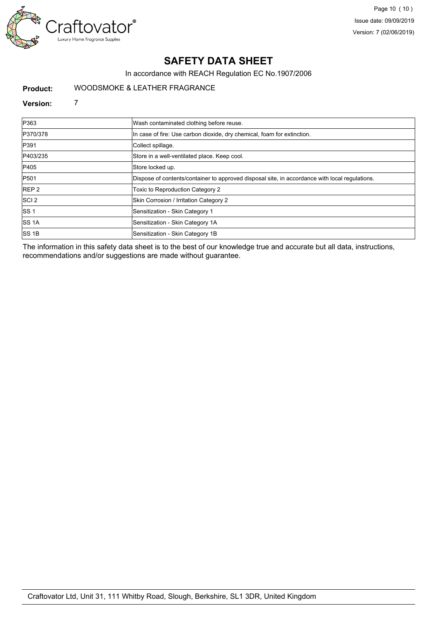

In accordance with REACH Regulation EC No.1907/2006

#### **Product:** WOODSMOKE FRAGRANCE

#### **Version:** 7

| P363             | Wash contaminated clothing before reuse.                                                       |
|------------------|------------------------------------------------------------------------------------------------|
| P370/378         | In case of fire: Use carbon dioxide, dry chemical, foam for extinction.                        |
| P391             | Collect spillage.                                                                              |
| P403/235         | Store in a well-ventilated place. Keep cool.                                                   |
| P405             | Store locked up.                                                                               |
| <b>P501</b>      | Dispose of contents/container to approved disposal site, in accordance with local regulations. |
| REP <sub>2</sub> | Toxic to Reproduction Category 2                                                               |
| SCI <sub>2</sub> | Skin Corrosion / Irritation Category 2                                                         |
| ISS <sub>1</sub> | Sensitization - Skin Category 1                                                                |
| <b>ISS 1A</b>    | Sensitization - Skin Category 1A                                                               |
| SS1B             | Sensitization - Skin Category 1B                                                               |

The information in this safety data sheet is to the best of our knowledge true and accurate but all data, instructions, recommendations and/or suggestions are made without guarantee.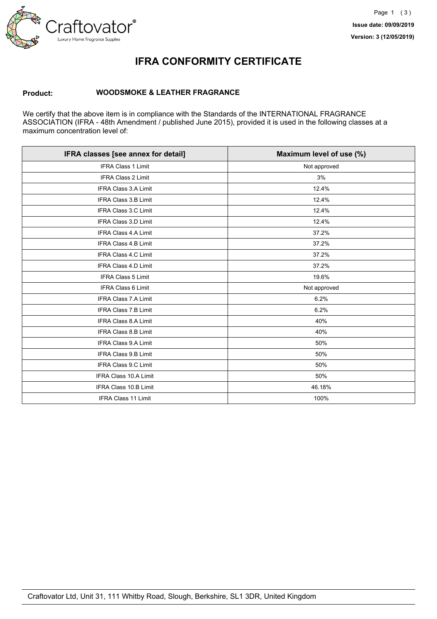

## **IFRA CONFORMITY CERTIFICATE**

#### **Product: WOODSMOKE FRAGRANCE**

We certify that the above item is in compliance with the Standards of the INTERNATIONAL FRAGRANCE ASSOCIATION (IFRA - 48th Amendment / published June 2015), provided it is used in the following classes at a maximum concentration level of:

| IFRA classes [see annex for detail] | Maximum level of use (%) |  |
|-------------------------------------|--------------------------|--|
| <b>IFRA Class 1 Limit</b>           | Not approved             |  |
| <b>IFRA Class 2 Limit</b>           | 3%                       |  |
| <b>IFRA Class 3.A Limit</b>         | 12.4%                    |  |
| IFRA Class 3.B Limit                | 12.4%                    |  |
| IFRA Class 3.C Limit                | 12.4%                    |  |
| IFRA Class 3.D Limit                | 12.4%                    |  |
| <b>IFRA Class 4.A Limit</b>         | 37.2%                    |  |
| <b>IFRA Class 4.B Limit</b>         | 37.2%                    |  |
| IFRA Class 4.C Limit                | 37.2%                    |  |
| IFRA Class 4.D Limit                | 37.2%                    |  |
| <b>IFRA Class 5 Limit</b>           | 19.6%                    |  |
| <b>IFRA Class 6 Limit</b>           | Not approved             |  |
| <b>IFRA Class 7.A Limit</b>         | 6.2%                     |  |
| IFRA Class 7.B Limit                | 6.2%                     |  |
| IFRA Class 8.A Limit                | 40%                      |  |
| <b>IFRA Class 8.B Limit</b>         | 40%                      |  |
| <b>IFRA Class 9.A Limit</b>         | 50%                      |  |
| <b>IFRA Class 9.B Limit</b>         | 50%                      |  |
| IFRA Class 9.C Limit                | 50%                      |  |
| IFRA Class 10.A Limit               | 50%                      |  |
| IFRA Class 10.B Limit               | 46.18%                   |  |
| IFRA Class 11 Limit                 | 100%                     |  |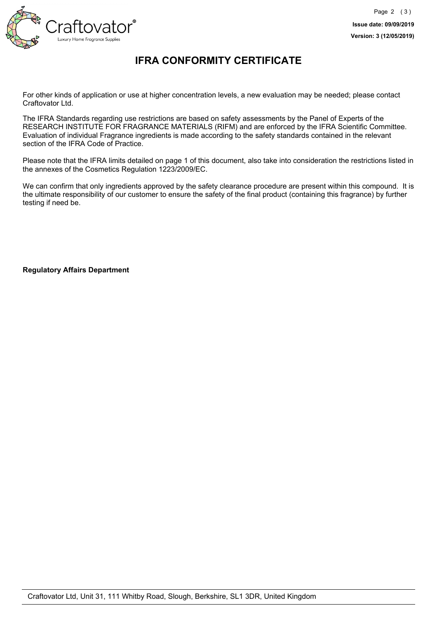

## **IFRA CONFORMITY CERTIFICATE**

For other kinds of application or use at higher concentration levels, a new evaluation may be needed; please contact Craftovator Ltd.

The IFRA Standards regarding use restrictions are based on safety assessments by the Panel of Experts of the RESEARCH INSTITUTE FOR FRAGRANCE MATERIALS (RIFM) and are enforced by the IFRA Scientific Committee. Evaluation of individual Fragrance ingredients is made according to the safety standards contained in the relevant section of the IFRA Code of Practice.

Please note that the IFRA limits detailed on page 1 of this document, also take into consideration the restrictions listed in the annexes of the Cosmetics Regulation 1223/2009/EC.

We can confirm that only ingredients approved by the safety clearance procedure are present within this compound. It is the ultimate responsibility of our customer to ensure the safety of the final product (containing this fragrance) by further testing if need be.

**Regulatory Affairs Department**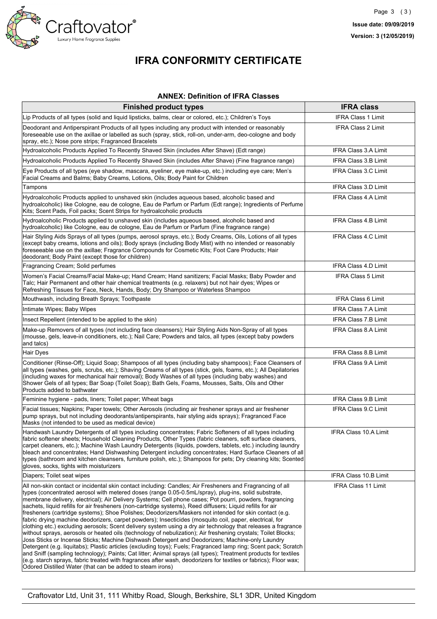

# **IFRA CONFORMITY CERTIFICATE**

#### **ANNEX: Definition of IFRA Classes**

| <b>Finished product types</b>                                                                                                                                                                                                                                                                                                                                                                                                                                                                                                                                                                                                                                                                                                                                                                                                                                                                                                                                                                                                                                                                                                                                                                                                                                                                                                                                                                                               | <b>IFRA class</b>            |
|-----------------------------------------------------------------------------------------------------------------------------------------------------------------------------------------------------------------------------------------------------------------------------------------------------------------------------------------------------------------------------------------------------------------------------------------------------------------------------------------------------------------------------------------------------------------------------------------------------------------------------------------------------------------------------------------------------------------------------------------------------------------------------------------------------------------------------------------------------------------------------------------------------------------------------------------------------------------------------------------------------------------------------------------------------------------------------------------------------------------------------------------------------------------------------------------------------------------------------------------------------------------------------------------------------------------------------------------------------------------------------------------------------------------------------|------------------------------|
| Lip Products of all types (solid and liquid lipsticks, balms, clear or colored, etc.); Children's Toys                                                                                                                                                                                                                                                                                                                                                                                                                                                                                                                                                                                                                                                                                                                                                                                                                                                                                                                                                                                                                                                                                                                                                                                                                                                                                                                      | <b>IFRA Class 1 Limit</b>    |
| Deodorant and Antiperspirant Products of all types including any product with intended or reasonably<br>foreseeable use on the axillae or labelled as such (spray, stick, roll-on, under-arm, deo-cologne and body<br>spray, etc.); Nose pore strips; Fragranced Bracelets                                                                                                                                                                                                                                                                                                                                                                                                                                                                                                                                                                                                                                                                                                                                                                                                                                                                                                                                                                                                                                                                                                                                                  | <b>IFRA Class 2 Limit</b>    |
| Hydroalcoholic Products Applied To Recently Shaved Skin (includes After Shave) (Edt range)                                                                                                                                                                                                                                                                                                                                                                                                                                                                                                                                                                                                                                                                                                                                                                                                                                                                                                                                                                                                                                                                                                                                                                                                                                                                                                                                  | <b>IFRA Class 3.A Limit</b>  |
| Hydroalcoholic Products Applied To Recently Shaved Skin (includes After Shave) (Fine fragrance range)                                                                                                                                                                                                                                                                                                                                                                                                                                                                                                                                                                                                                                                                                                                                                                                                                                                                                                                                                                                                                                                                                                                                                                                                                                                                                                                       | IFRA Class 3.B Limit         |
| Eye Products of all types (eye shadow, mascara, eyeliner, eye make-up, etc.) including eye care; Men's<br>Facial Creams and Balms; Baby Creams, Lotions, Oils; Body Paint for Children                                                                                                                                                                                                                                                                                                                                                                                                                                                                                                                                                                                                                                                                                                                                                                                                                                                                                                                                                                                                                                                                                                                                                                                                                                      | IFRA Class 3.C Limit         |
| Tampons                                                                                                                                                                                                                                                                                                                                                                                                                                                                                                                                                                                                                                                                                                                                                                                                                                                                                                                                                                                                                                                                                                                                                                                                                                                                                                                                                                                                                     | <b>IFRA Class 3.D Limit</b>  |
| Hydroalcoholic Products applied to unshaved skin (includes aqueous based, alcoholic based and<br>hydroalcoholic) like Cologne, eau de cologne, Eau de Parfum or Parfum (Edt range); Ingredients of Perfume<br>Kits; Scent Pads, Foil packs; Scent Strips for hydroalcoholic products                                                                                                                                                                                                                                                                                                                                                                                                                                                                                                                                                                                                                                                                                                                                                                                                                                                                                                                                                                                                                                                                                                                                        | <b>IFRA Class 4.A Limit</b>  |
| Hydroalcoholic Products applied to unshaved skin (includes aqueous based, alcoholic based and<br>(hydroalcoholic) like Cologne, eau de cologne, Eau de Parfum or Parfum (Fine fragrance range)                                                                                                                                                                                                                                                                                                                                                                                                                                                                                                                                                                                                                                                                                                                                                                                                                                                                                                                                                                                                                                                                                                                                                                                                                              | <b>IFRA Class 4.B Limit</b>  |
| Hair Styling Aids Sprays of all types (pumps, aerosol sprays, etc.); Body Creams, Oils, Lotions of all types<br>(except baby creams, lotions and oils); Body sprays (including Body Mist) with no intended or reasonably<br>foreseeable use on the axillae; Fragrance Compounds for Cosmetic Kits; Foot Care Products; Hair<br>deodorant; Body Paint (except those for children)                                                                                                                                                                                                                                                                                                                                                                                                                                                                                                                                                                                                                                                                                                                                                                                                                                                                                                                                                                                                                                            | <b>IFRA Class 4.C Limit</b>  |
| Fragrancing Cream; Solid perfumes                                                                                                                                                                                                                                                                                                                                                                                                                                                                                                                                                                                                                                                                                                                                                                                                                                                                                                                                                                                                                                                                                                                                                                                                                                                                                                                                                                                           | <b>IFRA Class 4.D Limit</b>  |
| Women's Facial Creams/Facial Make-up; Hand Cream; Hand sanitizers; Facial Masks; Baby Powder and<br>Talc; Hair Permanent and other hair chemical treatments (e.g. relaxers) but not hair dyes; Wipes or<br>Refreshing Tissues for Face, Neck, Hands, Body; Dry Shampoo or Waterless Shampoo                                                                                                                                                                                                                                                                                                                                                                                                                                                                                                                                                                                                                                                                                                                                                                                                                                                                                                                                                                                                                                                                                                                                 | <b>IFRA Class 5 Limit</b>    |
| Mouthwash, including Breath Sprays; Toothpaste                                                                                                                                                                                                                                                                                                                                                                                                                                                                                                                                                                                                                                                                                                                                                                                                                                                                                                                                                                                                                                                                                                                                                                                                                                                                                                                                                                              | <b>IFRA Class 6 Limit</b>    |
| Intimate Wipes; Baby Wipes                                                                                                                                                                                                                                                                                                                                                                                                                                                                                                                                                                                                                                                                                                                                                                                                                                                                                                                                                                                                                                                                                                                                                                                                                                                                                                                                                                                                  | <b>IFRA Class 7.A Limit</b>  |
| Insect Repellent (intended to be applied to the skin)                                                                                                                                                                                                                                                                                                                                                                                                                                                                                                                                                                                                                                                                                                                                                                                                                                                                                                                                                                                                                                                                                                                                                                                                                                                                                                                                                                       | IFRA Class 7.B Limit         |
| Make-up Removers of all types (not including face cleansers); Hair Styling Aids Non-Spray of all types<br>(mousse, gels, leave-in conditioners, etc.); Nail Care; Powders and talcs, all types (except baby powders<br>and talcs)                                                                                                                                                                                                                                                                                                                                                                                                                                                                                                                                                                                                                                                                                                                                                                                                                                                                                                                                                                                                                                                                                                                                                                                           | IFRA Class 8.A Limit         |
| Hair Dyes                                                                                                                                                                                                                                                                                                                                                                                                                                                                                                                                                                                                                                                                                                                                                                                                                                                                                                                                                                                                                                                                                                                                                                                                                                                                                                                                                                                                                   | IFRA Class 8.B Limit         |
| Conditioner (Rinse-Off); Liquid Soap; Shampoos of all types (including baby shampoos); Face Cleansers of<br>all types (washes, gels, scrubs, etc.); Shaving Creams of all types (stick, gels, foams, etc.); All Depilatories<br>(including waxes for mechanical hair removal); Body Washes of all types (including baby washes) and<br>Shower Gels of all types; Bar Soap (Toilet Soap); Bath Gels, Foams, Mousses, Salts, Oils and Other<br>Products added to bathwater                                                                                                                                                                                                                                                                                                                                                                                                                                                                                                                                                                                                                                                                                                                                                                                                                                                                                                                                                    | <b>IFRA Class 9.A Limit</b>  |
| Feminine hygiene - pads, liners; Toilet paper; Wheat bags                                                                                                                                                                                                                                                                                                                                                                                                                                                                                                                                                                                                                                                                                                                                                                                                                                                                                                                                                                                                                                                                                                                                                                                                                                                                                                                                                                   | <b>IFRA Class 9.B Limit</b>  |
| Facial tissues; Napkins; Paper towels; Other Aerosols (including air freshener sprays and air freshener<br>pump sprays, but not including deodorants/antiperspirants, hair styling aids sprays); Fragranced Face<br>Masks (not intended to be used as medical device)                                                                                                                                                                                                                                                                                                                                                                                                                                                                                                                                                                                                                                                                                                                                                                                                                                                                                                                                                                                                                                                                                                                                                       | <b>IFRA Class 9.C Limit</b>  |
| Handwash Laundry Detergents of all types including concentrates; Fabric Softeners of all types including<br>fabric softener sheets; Household Cleaning Products, Other Types (fabric cleaners, soft surface cleaners,<br>carpet cleaners, etc.); Machine Wash Laundry Detergents (liquids, powders, tablets, etc.) including laundry<br>bleach and concentrates; Hand Dishwashing Detergent including concentrates; Hard Surface Cleaners of all<br>types (bathroom and kitchen cleansers, furniture polish, etc.); Shampoos for pets; Dry cleaning kits; Scented<br>gloves, socks, tights with moisturizers                                                                                                                                                                                                                                                                                                                                                                                                                                                                                                                                                                                                                                                                                                                                                                                                                | IFRA Class 10.A Limit        |
| Diapers; Toilet seat wipes                                                                                                                                                                                                                                                                                                                                                                                                                                                                                                                                                                                                                                                                                                                                                                                                                                                                                                                                                                                                                                                                                                                                                                                                                                                                                                                                                                                                  | <b>IFRA Class 10.B Limit</b> |
| All non-skin contact or incidental skin contact including: Candles; Air Fresheners and Fragrancing of all<br>types (concentrated aerosol with metered doses (range 0.05-0.5mL/spray), plug-ins, solid substrate,<br>membrane delivery, electrical); Air Delivery Systems; Cell phone cases; Pot pourri, powders, fragrancing<br>sachets, liquid refills for air fresheners (non-cartridge systems), Reed diffusers; Liquid refills for air<br>fresheners (cartridge systems); Shoe Polishes; Deodorizers/Maskers not intended for skin contact (e.g.<br>fabric drying machine deodorizers, carpet powders); Insecticides (mosquito coil, paper, electrical, for<br>clothing etc.) excluding aerosols; Scent delivery system using a dry air technology that releases a fragrance<br>without sprays, aerosols or heated oils (technology of nebulization); Air freshening crystals; Toilet Blocks;<br>Joss Sticks or Incense Sticks; Machine Dishwash Detergent and Deodorizers; Machine-only Laundry<br>Detergent (e.g. liquitabs); Plastic articles (excluding toys); Fuels; Fragranced lamp ring; Scent pack; Scratch<br>and Sniff (sampling technology); Paints; Cat litter; Animal sprays (all types); Treatment products for textiles<br>(e.g. starch sprays, fabric treated with fragrances after wash, deodorizers for textiles or fabrics); Floor wax;<br>Odored Distilled Water (that can be added to steam irons) | <b>IFRA Class 11 Limit</b>   |